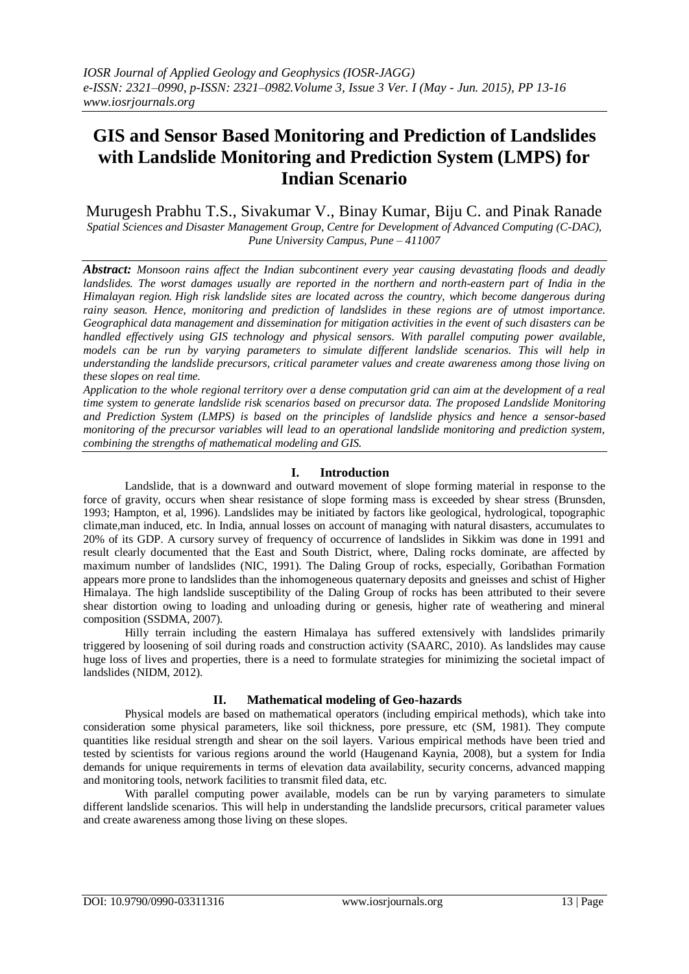# **GIS and Sensor Based Monitoring and Prediction of Landslides with Landslide Monitoring and Prediction System (LMPS) for Indian Scenario**

Murugesh Prabhu T.S., Sivakumar V., Binay Kumar, Biju C. and Pinak Ranade *Spatial Sciences and Disaster Management Group, Centre for Development of Advanced Computing (C-DAC), Pune University Campus, Pune – 411007* 

*Abstract: Monsoon rains affect the Indian subcontinent every year causing devastating floods and deadly landslides. The worst damages usually are reported in the northern and north-eastern part of India in the Himalayan region. High risk landslide sites are located across the country, which become dangerous during rainy season. Hence, monitoring and prediction of landslides in these regions are of utmost importance. Geographical data management and dissemination for mitigation activities in the event of such disasters can be handled effectively using GIS technology and physical sensors. With parallel computing power available, models can be run by varying parameters to simulate different landslide scenarios. This will help in understanding the landslide precursors, critical parameter values and create awareness among those living on these slopes on real time.* 

*Application to the whole regional territory over a dense computation grid can aim at the development of a real time system to generate landslide risk scenarios based on precursor data. The proposed Landslide Monitoring and Prediction System (LMPS) is based on the principles of landslide physics and hence a sensor-based monitoring of the precursor variables will lead to an operational landslide monitoring and prediction system, combining the strengths of mathematical modeling and GIS.*

# **I. Introduction**

Landslide, that is a downward and outward movement of slope forming material in response to the force of gravity, occurs when shear resistance of slope forming mass is exceeded by shear stress (Brunsden, 1993; Hampton, et al, 1996). Landslides may be initiated by factors like geological, hydrological, topographic climate,man induced, etc. In India, annual losses on account of managing with natural disasters, accumulates to 20% of its GDP. A cursory survey of frequency of occurrence of landslides in Sikkim was done in 1991 and result clearly documented that the East and South District, where, Daling rocks dominate, are affected by maximum number of landslides (NIC, 1991). The Daling Group of rocks, especially, Goribathan Formation appears more prone to landslides than the inhomogeneous quaternary deposits and gneisses and schist of Higher Himalaya. The high landslide susceptibility of the Daling Group of rocks has been attributed to their severe shear distortion owing to loading and unloading during or genesis, higher rate of weathering and mineral composition (SSDMA, 2007).

Hilly terrain including the eastern Himalaya has suffered extensively with landslides primarily triggered by loosening of soil during roads and construction activity (SAARC, 2010). As landslides may cause huge loss of lives and properties, there is a need to formulate strategies for minimizing the societal impact of landslides (NIDM, 2012).

# **II. Mathematical modeling of Geo-hazards**

Physical models are based on mathematical operators (including empirical methods), which take into consideration some physical parameters, like soil thickness, pore pressure, etc (SM, 1981). They compute quantities like residual strength and shear on the soil layers. Various empirical methods have been tried and tested by scientists for various regions around the world (Haugenand Kaynia, 2008), but a system for India demands for unique requirements in terms of elevation data availability, security concerns, advanced mapping and monitoring tools, network facilities to transmit filed data, etc.

With parallel computing power available, models can be run by varying parameters to simulate different landslide scenarios. This will help in understanding the landslide precursors, critical parameter values and create awareness among those living on these slopes.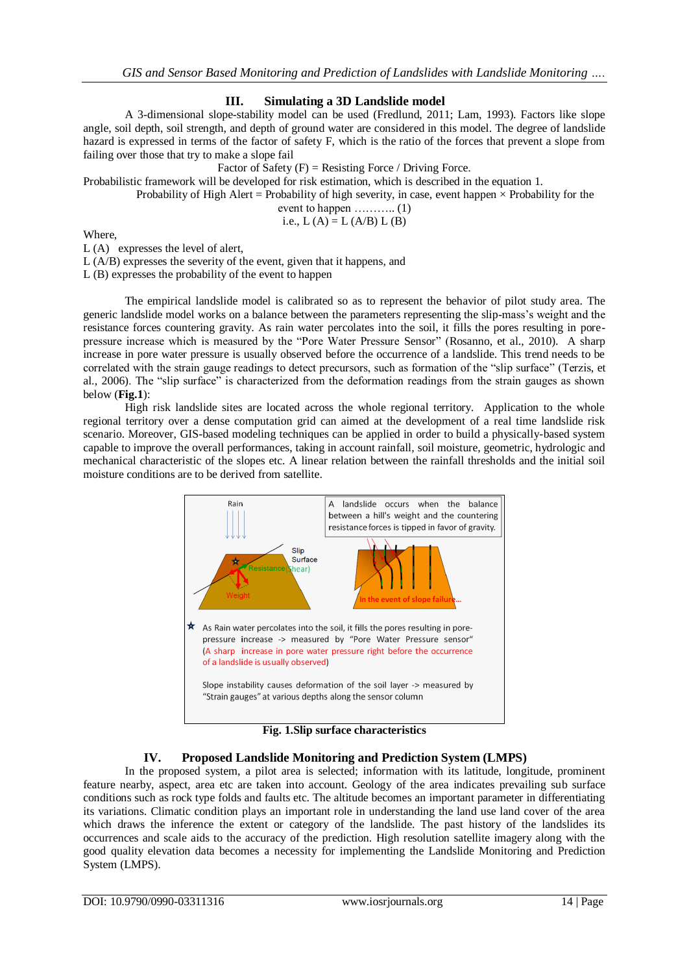# **III. Simulating a 3D Landslide model**

A 3-dimensional slope-stability model can be used (Fredlund, 2011; Lam, 1993). Factors like slope angle, soil depth, soil strength, and depth of ground water are considered in this model. The degree of landslide hazard is expressed in terms of the factor of safety F, which is the ratio of the forces that prevent a slope from failing over those that try to make a slope fail

Factor of Safety  $(F)$  = Resisting Force / Driving Force.

Probabilistic framework will be developed for risk estimation, which is described in the equation 1.

Probability of High Alert = Probability of high severity, in case, event happen  $\times$  Probability for the

event to happen  $\dots\dots\dots\dots$  (1)

i.e.,  $L(A) = L(A/B) L(B)$ 

Where,

L (A) expresses the level of alert,

L (A/B) expresses the severity of the event, given that it happens, and

L (B) expresses the probability of the event to happen

The empirical landslide model is calibrated so as to represent the behavior of pilot study area. The generic landslide model works on a balance between the parameters representing the slip-mass"s weight and the resistance forces countering gravity. As rain water percolates into the soil, it fills the pores resulting in porepressure increase which is measured by the "Pore Water Pressure Sensor" (Rosanno, et al., 2010). A sharp increase in pore water pressure is usually observed before the occurrence of a landslide. This trend needs to be correlated with the strain gauge readings to detect precursors, such as formation of the "slip surface" (Terzis, et al., 2006). The "slip surface" is characterized from the deformation readings from the strain gauges as shown below (**Fig.1**):

High risk landslide sites are located across the whole regional territory. Application to the whole regional territory over a dense computation grid can aimed at the development of a real time landslide risk scenario. Moreover, GIS-based modeling techniques can be applied in order to build a physically-based system capable to improve the overall performances, taking in account rainfall, soil moisture, geometric, hydrologic and mechanical characteristic of the slopes etc. A linear relation between the rainfall thresholds and the initial soil moisture conditions are to be derived from satellite.



**Fig. 1.Slip surface characteristics**

# **IV. Proposed Landslide Monitoring and Prediction System (LMPS)**

In the proposed system, a pilot area is selected; information with its latitude, longitude, prominent feature nearby, aspect, area etc are taken into account. Geology of the area indicates prevailing sub surface conditions such as rock type folds and faults etc. The altitude becomes an important parameter in differentiating its variations. Climatic condition plays an important role in understanding the land use land cover of the area which draws the inference the extent or category of the landslide. The past history of the landslides its occurrences and scale aids to the accuracy of the prediction. High resolution satellite imagery along with the good quality elevation data becomes a necessity for implementing the Landslide Monitoring and Prediction System (LMPS).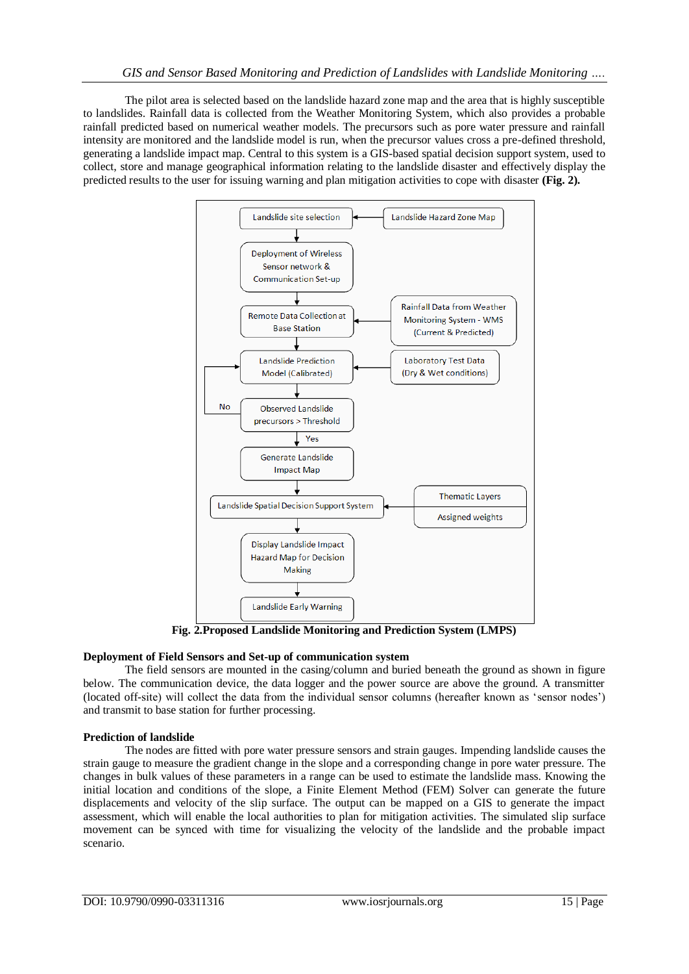The pilot area is selected based on the landslide hazard zone map and the area that is highly susceptible to landslides. Rainfall data is collected from the Weather Monitoring System, which also provides a probable rainfall predicted based on numerical weather models. The precursors such as pore water pressure and rainfall intensity are monitored and the landslide model is run, when the precursor values cross a pre-defined threshold, generating a landslide impact map. Central to this system is a GIS-based spatial decision support system, used to collect, store and manage geographical information relating to the landslide disaster and effectively display the predicted results to the user for issuing warning and plan mitigation activities to cope with disaster **(Fig. 2).**



**Fig. 2.Proposed Landslide Monitoring and Prediction System (LMPS)**

# **Deployment of Field Sensors and Set-up of communication system**

The field sensors are mounted in the casing/column and buried beneath the ground as shown in figure below. The communication device, the data logger and the power source are above the ground. A transmitter (located off-site) will collect the data from the individual sensor columns (hereafter known as "sensor nodes") and transmit to base station for further processing.

# **Prediction of landslide**

The nodes are fitted with pore water pressure sensors and strain gauges. Impending landslide causes the strain gauge to measure the gradient change in the slope and a corresponding change in pore water pressure. The changes in bulk values of these parameters in a range can be used to estimate the landslide mass. Knowing the initial location and conditions of the slope, a Finite Element Method (FEM) Solver can generate the future displacements and velocity of the slip surface. The output can be mapped on a GIS to generate the impact assessment, which will enable the local authorities to plan for mitigation activities. The simulated slip surface movement can be synced with time for visualizing the velocity of the landslide and the probable impact scenario.